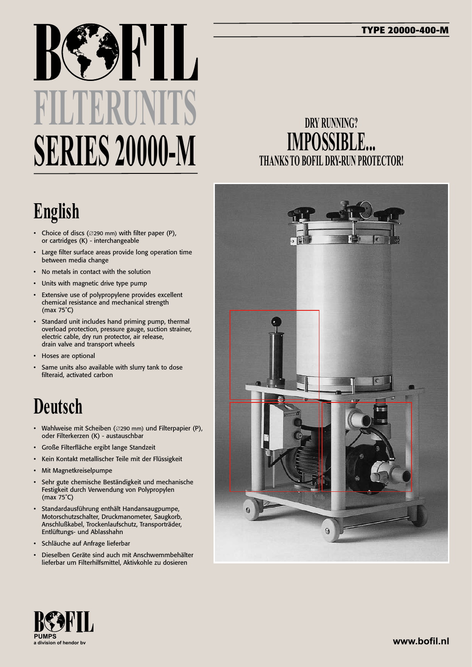# **FILTERUNITS SERIES 20000-M**

# **English**

- • Choice of discs (∅290 mm) with filter paper (P), or cartridges (K) - interchangeable
- Large filter surface areas provide long operation time between media change
- No metals in contact with the solution
- • Units with magnetic drive type pump
- • Extensive use of polypropylene provides excellent chemical resistance and mechanical strength (max 75˚C)
- • Standard unit includes hand priming pump, thermal overload protection, pressure gauge, suction strainer, electric cable, dry run protector, air release, drain valve and transport wheels
- • Hoses are optional
- Same units also available with slurry tank to dose filteraid, activated carbon

## **Deutsch**

- • Wahlweise mit Scheiben (∅290 mm) und Filterpapier (P), oder Filterkerzen (K) - austauschbar
- • Große Filterfläche ergibt lange Standzeit
- • Kein Kontakt metallischer Teile mit der Flüssigkeit
- Mit Magnetkreiselpumpe
- Sehr gute chemische Beständigkeit und mechanische Festigkeit durch Verwendung von Polypropylen (max 75˚C)
- • Standardausführung enthält Handansaugpumpe, Motorschutzschalter, Druckmanometer, Saugkorb, Anschlußkabel, Trockenlaufschutz, Transporträder, Entlüftungs- und Ablasshahn
- • Schläuche auf Anfrage lieferbar
- Dieselben Geräte sind auch mit Anschwemmbehälter lieferbar um Filterhilfsmittel, Aktivkohle zu dosieren

#### **DRY RUNNING? IMPOSSIBLE... THANKS TO BOFIL DRY-RUN PROTECTOR!**